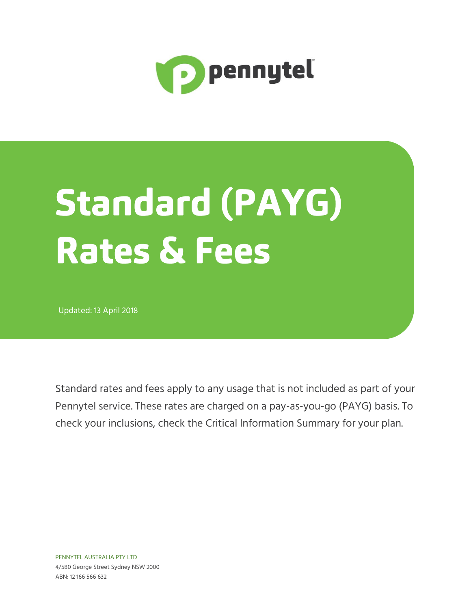

# **Standard (PAYG) Rates & Fees**

Updated: 13 April 2018

Standard rates and fees apply to any usage that is not included as part of your Pennytel service. These rates are charged on a pay-as-you-go (PAYG) basis. To check your inclusions, check the Critical Information Summary for your plan.

PENNYTEL AUSTRALIA PTY LTD 4/580 George Street Sydney NSW 2000 ABN: 12 166 566 632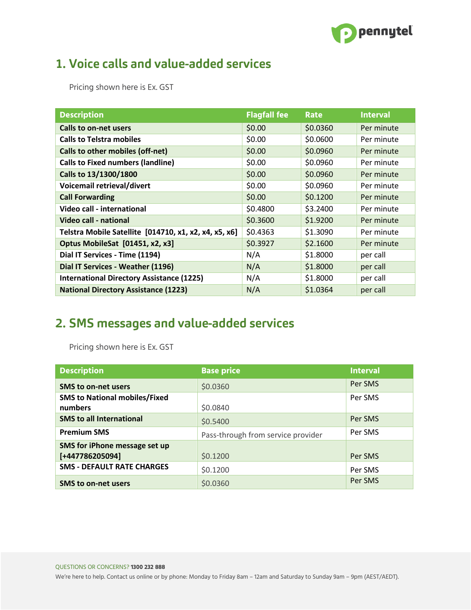

## 1. Voice calls and value-added services

Pricing shown here is Ex. GST

| <b>Description</b>                                    | <b>Flagfall fee</b> | <b>Rate</b> | <b>Interval</b> |
|-------------------------------------------------------|---------------------|-------------|-----------------|
| <b>Calls to on-net users</b>                          | \$0.00              | \$0.0360    | Per minute      |
| <b>Calls to Telstra mobiles</b>                       | \$0.00              | \$0.0600    | Per minute      |
| Calls to other mobiles (off-net)                      | \$0.00              | \$0.0960    | Per minute      |
| <b>Calls to Fixed numbers (landline)</b>              | \$0.00              | \$0.0960    | Per minute      |
| Calls to 13/1300/1800                                 | \$0.00              | \$0.0960    | Per minute      |
| Voicemail retrieval/divert                            | \$0.00              | \$0.0960    | Per minute      |
| <b>Call Forwarding</b>                                | \$0.00              | \$0.1200    | Per minute      |
| Video call - international                            | \$0.4800            | \$3.2400    | Per minute      |
| <b>Video call - national</b>                          | \$0.3600            | \$1.9200    | Per minute      |
| Telstra Mobile Satellite [014710, x1, x2, x4, x5, x6] | \$0.4363            | \$1.3090    | Per minute      |
| Optus MobileSat [01451, x2, x3]                       | \$0.3927            | \$2.1600    | Per minute      |
| Dial IT Services - Time (1194)                        | N/A                 | \$1.8000    | per call        |
| Dial IT Services - Weather (1196)                     | N/A                 | \$1.8000    | per call        |
| <b>International Directory Assistance (1225)</b>      | N/A                 | \$1.8000    | per call        |
| <b>National Directory Assistance (1223)</b>           | N/A                 | \$1.0364    | per call        |

# 2. SMS messages and value-added services

Pricing shown here is Ex. GST

| <b>Description</b>                   | <b>Base price</b>                  | <b>Interval</b> |
|--------------------------------------|------------------------------------|-----------------|
| <b>SMS to on-net users</b>           | \$0.0360                           | Per SMS         |
| <b>SMS to National mobiles/Fixed</b> |                                    | Per SMS         |
| numbers                              | \$0.0840                           |                 |
| <b>SMS to all International</b>      | \$0.5400                           | Per SMS         |
| <b>Premium SMS</b>                   | Pass-through from service provider | Per SMS         |
| SMS for iPhone message set up        |                                    |                 |
| [+447786205094]                      | \$0.1200                           | Per SMS         |
| <b>SMS - DEFAULT RATE CHARGES</b>    | \$0.1200                           | Per SMS         |
| <b>SMS to on-net users</b>           | \$0.0360                           | Per SMS         |